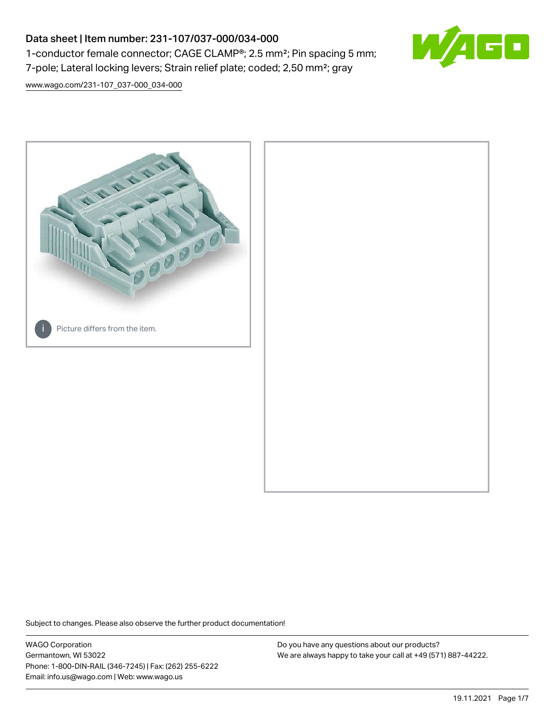# Data sheet | Item number: 231-107/037-000/034-000 1-conductor female connector; CAGE CLAMP®; 2.5 mm²; Pin spacing 5 mm; 7-pole; Lateral locking levers; Strain relief plate; coded; 2,50 mm²; gray



[www.wago.com/231-107\\_037-000\\_034-000](http://www.wago.com/231-107_037-000_034-000)



Subject to changes. Please also observe the further product documentation!

WAGO Corporation Germantown, WI 53022 Phone: 1-800-DIN-RAIL (346-7245) | Fax: (262) 255-6222 Email: info.us@wago.com | Web: www.wago.us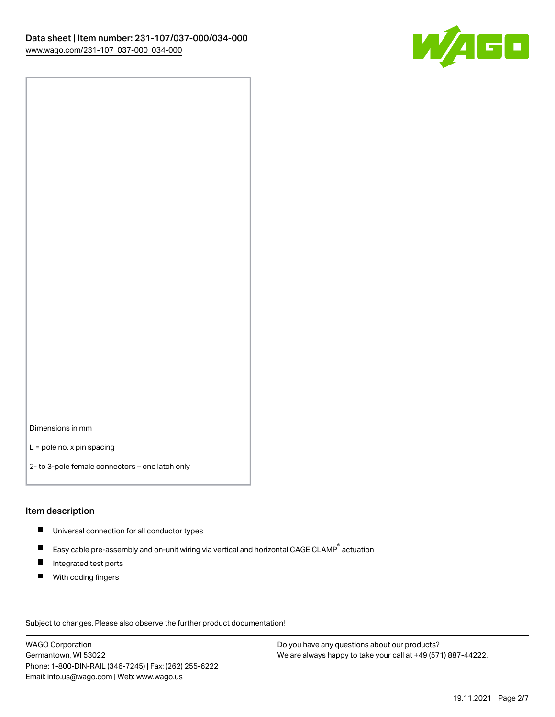

Dimensions in mm

L = pole no. x pin spacing

2- to 3-pole female connectors – one latch only

#### Item description

- **Universal connection for all conductor types**
- Easy cable pre-assembly and on-unit wiring via vertical and horizontal CAGE CLAMP<sup>®</sup> actuation  $\blacksquare$
- $\blacksquare$ Integrated test ports
- $\blacksquare$ With coding fingers

Subject to changes. Please also observe the further product documentation! Data

WAGO Corporation Germantown, WI 53022 Phone: 1-800-DIN-RAIL (346-7245) | Fax: (262) 255-6222 Email: info.us@wago.com | Web: www.wago.us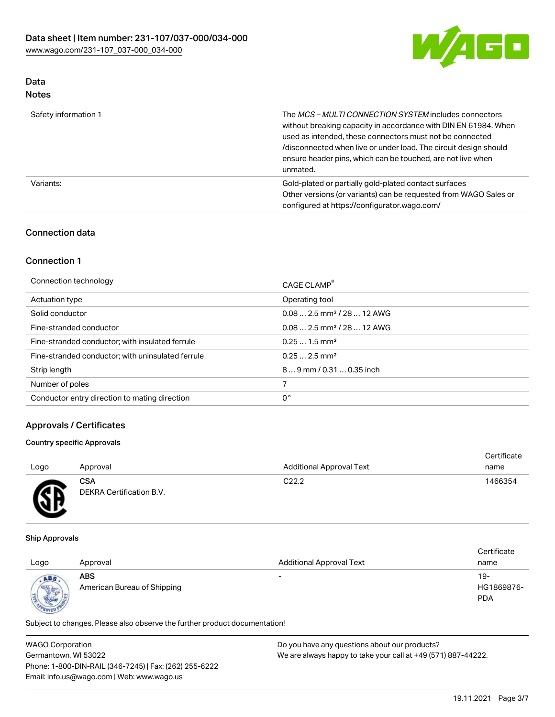

# Data

| Safety information 1 | The MCS-MULTI CONNECTION SYSTEM includes connectors<br>without breaking capacity in accordance with DIN EN 61984. When<br>used as intended, these connectors must not be connected<br>/disconnected when live or under load. The circuit design should<br>ensure header pins, which can be touched, are not live when<br>unmated. |
|----------------------|-----------------------------------------------------------------------------------------------------------------------------------------------------------------------------------------------------------------------------------------------------------------------------------------------------------------------------------|
| Variants:            | Gold-plated or partially gold-plated contact surfaces<br>Other versions (or variants) can be requested from WAGO Sales or<br>configured at https://configurator.wago.com/                                                                                                                                                         |

## Connection data

## Connection 1

| Connection technology                             | CAGE CLAMP <sup>®</sup>                |
|---------------------------------------------------|----------------------------------------|
| Actuation type                                    | Operating tool                         |
| Solid conductor                                   | $0.082.5$ mm <sup>2</sup> / 28  12 AWG |
| Fine-stranded conductor                           | $0.082.5$ mm <sup>2</sup> / 28  12 AWG |
| Fine-stranded conductor; with insulated ferrule   | $0.251.5$ mm <sup>2</sup>              |
| Fine-stranded conductor; with uninsulated ferrule | $0.252.5$ mm <sup>2</sup>              |
| Strip length                                      | $89$ mm / 0.31  0.35 inch              |
| Number of poles                                   |                                        |
| Conductor entry direction to mating direction     | 0°                                     |

# Approvals / Certificates

### Country specific Approvals

| Logo                       | Approval                               | <b>Additional Approval Text</b> | Certificate<br>name |
|----------------------------|----------------------------------------|---------------------------------|---------------------|
| Æ<br>$\tilde{\phantom{a}}$ | <b>CSA</b><br>DEKRA Certification B.V. | C <sub>22.2</sub>               | 1466354             |

#### Ship Approvals

| Logo                     | Approval                                  | <b>Additional Approval Text</b> | Certificate<br>name               |
|--------------------------|-------------------------------------------|---------------------------------|-----------------------------------|
| ABS<br><b>CONTRACTOR</b> | <b>ABS</b><br>American Bureau of Shipping | $\overline{\phantom{0}}$        | $19-$<br>HG1869876-<br><b>PDA</b> |

Subject to changes. Please also observe the further product documentation!

| <b>WAGO Corporation</b>                                | Do you have any questions about our products?                 |  |
|--------------------------------------------------------|---------------------------------------------------------------|--|
| Germantown, WI 53022                                   | We are always happy to take your call at +49 (571) 887-44222. |  |
| Phone: 1-800-DIN-RAIL (346-7245)   Fax: (262) 255-6222 |                                                               |  |
| Email: info.us@wago.com   Web: www.wago.us             |                                                               |  |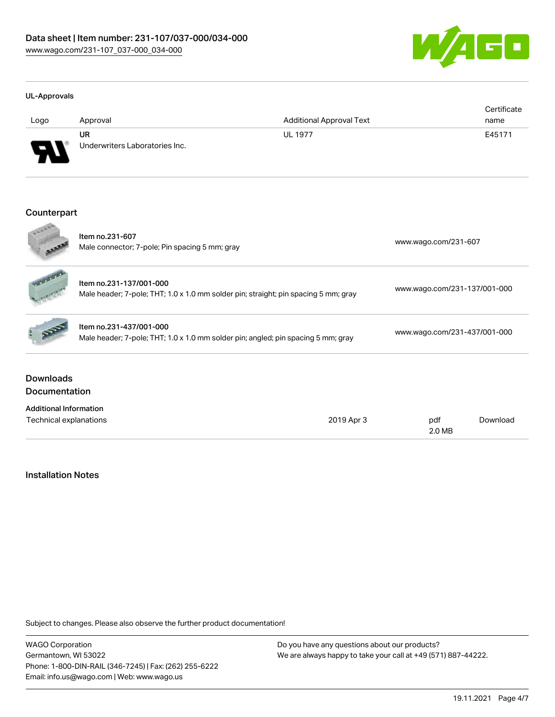

#### UL-Approvals

| Logo    | Approval                             | <b>Additional Approval Text</b> | Certificate<br>name |
|---------|--------------------------------------|---------------------------------|---------------------|
| J<br>₩₩ | UR<br>Underwriters Laboratories Inc. | <b>UL 1977</b>                  | E45171              |

#### Counterpart

| <b>Downloads</b><br><b>Documentation</b> |                                                                                                                |  |                              |  |  |
|------------------------------------------|----------------------------------------------------------------------------------------------------------------|--|------------------------------|--|--|
|                                          | Item no.231-437/001-000<br>Male header; 7-pole; THT; 1.0 x 1.0 mm solder pin; angled; pin spacing 5 mm; gray   |  | www.wago.com/231-437/001-000 |  |  |
|                                          | Item no.231-137/001-000<br>Male header; 7-pole; THT; 1.0 x 1.0 mm solder pin; straight; pin spacing 5 mm; gray |  | www.wago.com/231-137/001-000 |  |  |
| 0000                                     | Item no.231-607<br>Male connector; 7-pole; Pin spacing 5 mm; gray                                              |  | www.wago.com/231-607         |  |  |

### Installation Notes

Subject to changes. Please also observe the further product documentation!

WAGO Corporation Germantown, WI 53022 Phone: 1-800-DIN-RAIL (346-7245) | Fax: (262) 255-6222 Email: info.us@wago.com | Web: www.wago.us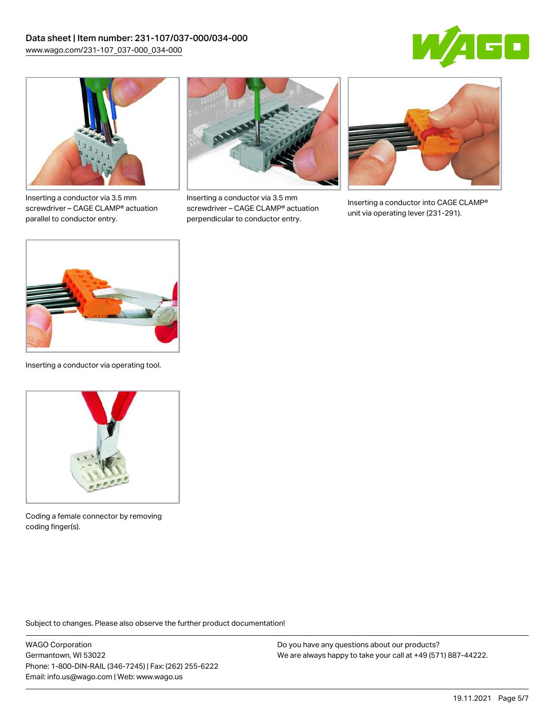



Inserting a conductor via 3.5 mm screwdriver – CAGE CLAMP® actuation parallel to conductor entry.



Inserting a conductor via 3.5 mm screwdriver – CAGE CLAMP® actuation perpendicular to conductor entry.



Inserting a conductor into CAGE CLAMP® unit via operating lever (231-291).



Inserting a conductor via operating tool.



Coding a female connector by removing coding finger(s).

Subject to changes. Please also observe the further product documentation!

WAGO Corporation Germantown, WI 53022 Phone: 1-800-DIN-RAIL (346-7245) | Fax: (262) 255-6222 Email: info.us@wago.com | Web: www.wago.us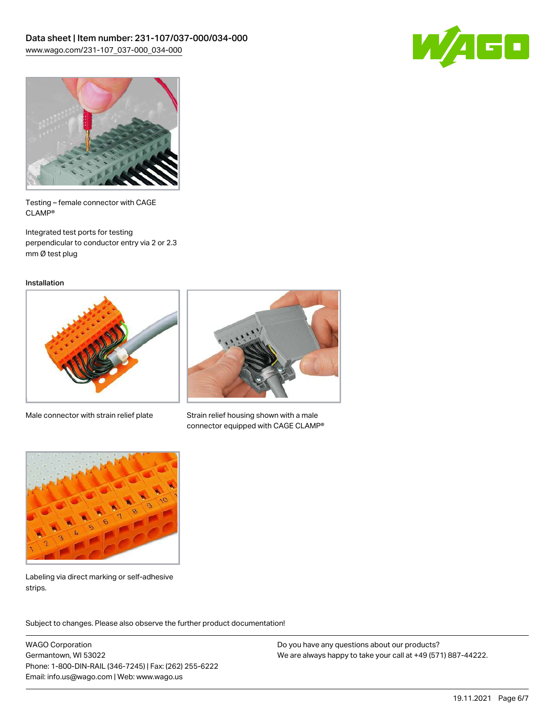



Testing – female connector with CAGE CLAMP®

Integrated test ports for testing perpendicular to conductor entry via 2 or 2.3 mm Ø test plug

Installation



Male connector with strain relief plate



Strain relief housing shown with a male connector equipped with CAGE CLAMP®



Labeling via direct marking or self-adhesive strips.

Subject to changes. Please also observe the further product documentation! Product family

WAGO Corporation Germantown, WI 53022 Phone: 1-800-DIN-RAIL (346-7245) | Fax: (262) 255-6222 Email: info.us@wago.com | Web: www.wago.us